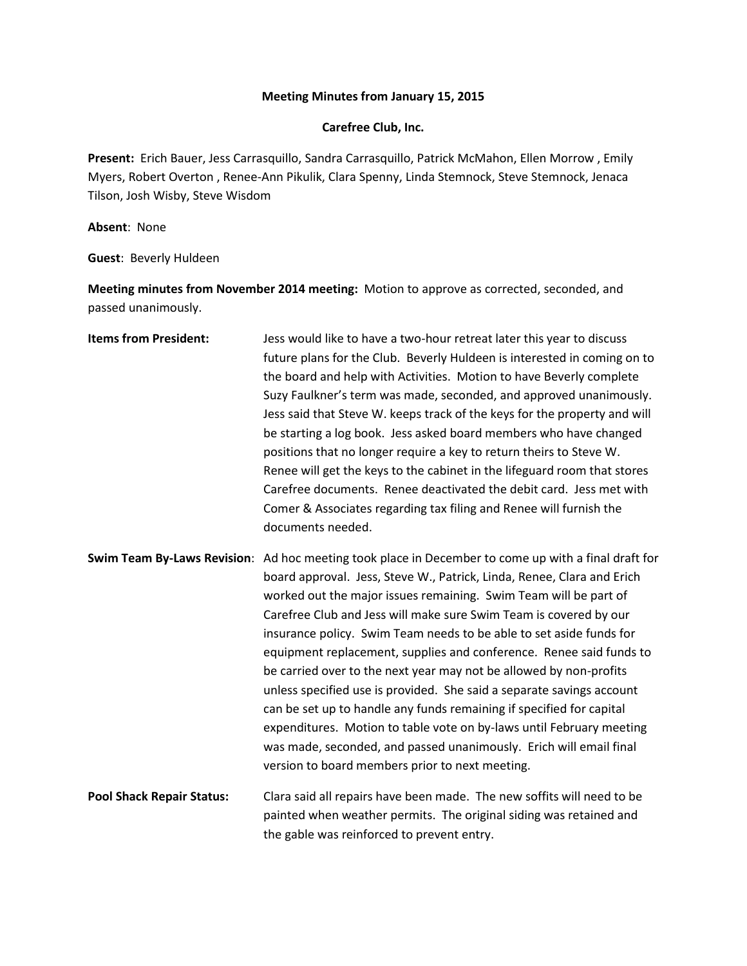## **Meeting Minutes from January 15, 2015**

## **Carefree Club, Inc.**

**Present:** Erich Bauer, Jess Carrasquillo, Sandra Carrasquillo, Patrick McMahon, Ellen Morrow , Emily Myers, Robert Overton , Renee-Ann Pikulik, Clara Spenny, Linda Stemnock, Steve Stemnock, Jenaca Tilson, Josh Wisby, Steve Wisdom

**Absent**: None

**Guest**: Beverly Huldeen

**Meeting minutes from November 2014 meeting:** Motion to approve as corrected, seconded, and passed unanimously.

| <b>Items from President:</b>     | Jess would like to have a two-hour retreat later this year to discuss<br>future plans for the Club. Beverly Huldeen is interested in coming on to<br>the board and help with Activities. Motion to have Beverly complete<br>Suzy Faulkner's term was made, seconded, and approved unanimously.<br>Jess said that Steve W. keeps track of the keys for the property and will<br>be starting a log book. Jess asked board members who have changed<br>positions that no longer require a key to return theirs to Steve W.<br>Renee will get the keys to the cabinet in the lifeguard room that stores<br>Carefree documents. Renee deactivated the debit card. Jess met with<br>Comer & Associates regarding tax filing and Renee will furnish the<br>documents needed.                                                                                                                        |
|----------------------------------|----------------------------------------------------------------------------------------------------------------------------------------------------------------------------------------------------------------------------------------------------------------------------------------------------------------------------------------------------------------------------------------------------------------------------------------------------------------------------------------------------------------------------------------------------------------------------------------------------------------------------------------------------------------------------------------------------------------------------------------------------------------------------------------------------------------------------------------------------------------------------------------------|
|                                  | Swim Team By-Laws Revision: Ad hoc meeting took place in December to come up with a final draft for<br>board approval. Jess, Steve W., Patrick, Linda, Renee, Clara and Erich<br>worked out the major issues remaining. Swim Team will be part of<br>Carefree Club and Jess will make sure Swim Team is covered by our<br>insurance policy. Swim Team needs to be able to set aside funds for<br>equipment replacement, supplies and conference. Renee said funds to<br>be carried over to the next year may not be allowed by non-profits<br>unless specified use is provided. She said a separate savings account<br>can be set up to handle any funds remaining if specified for capital<br>expenditures. Motion to table vote on by-laws until February meeting<br>was made, seconded, and passed unanimously. Erich will email final<br>version to board members prior to next meeting. |
| <b>Pool Shack Repair Status:</b> | Clara said all repairs have been made. The new soffits will need to be<br>painted when weather permits. The original siding was retained and<br>the gable was reinforced to prevent entry.                                                                                                                                                                                                                                                                                                                                                                                                                                                                                                                                                                                                                                                                                                   |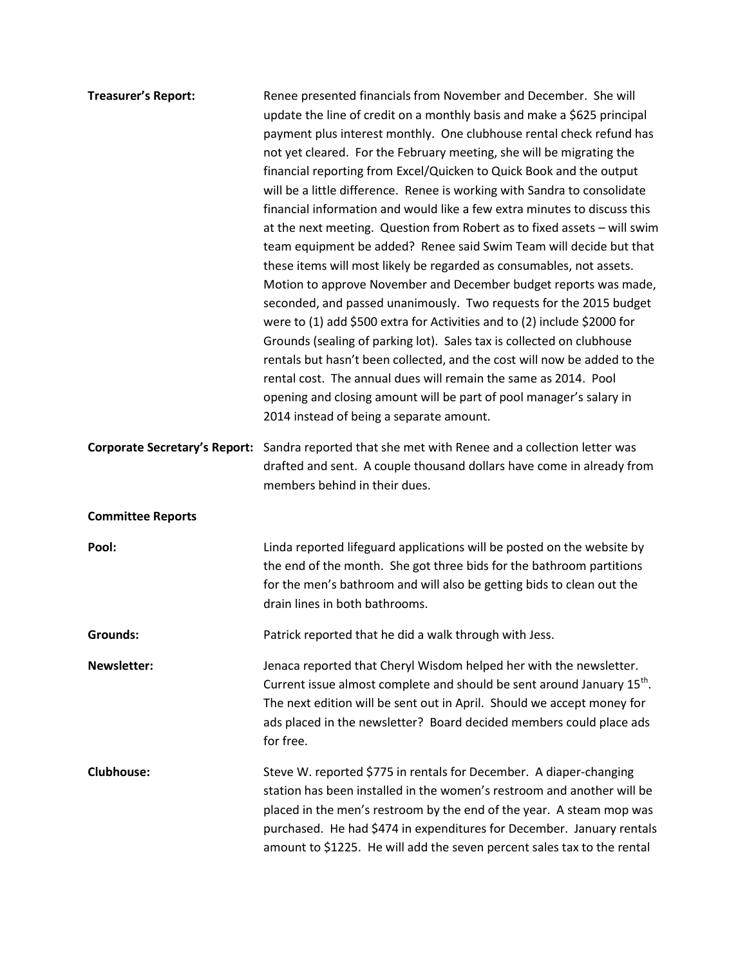| <b>Treasurer's Report:</b>           | Renee presented financials from November and December. She will<br>update the line of credit on a monthly basis and make a \$625 principal<br>payment plus interest monthly. One clubhouse rental check refund has<br>not yet cleared. For the February meeting, she will be migrating the<br>financial reporting from Excel/Quicken to Quick Book and the output<br>will be a little difference. Renee is working with Sandra to consolidate<br>financial information and would like a few extra minutes to discuss this<br>at the next meeting. Question from Robert as to fixed assets - will swim<br>team equipment be added? Renee said Swim Team will decide but that<br>these items will most likely be regarded as consumables, not assets.<br>Motion to approve November and December budget reports was made,<br>seconded, and passed unanimously. Two requests for the 2015 budget<br>were to (1) add \$500 extra for Activities and to (2) include \$2000 for<br>Grounds (sealing of parking lot). Sales tax is collected on clubhouse<br>rentals but hasn't been collected, and the cost will now be added to the<br>rental cost. The annual dues will remain the same as 2014. Pool<br>opening and closing amount will be part of pool manager's salary in<br>2014 instead of being a separate amount. |
|--------------------------------------|----------------------------------------------------------------------------------------------------------------------------------------------------------------------------------------------------------------------------------------------------------------------------------------------------------------------------------------------------------------------------------------------------------------------------------------------------------------------------------------------------------------------------------------------------------------------------------------------------------------------------------------------------------------------------------------------------------------------------------------------------------------------------------------------------------------------------------------------------------------------------------------------------------------------------------------------------------------------------------------------------------------------------------------------------------------------------------------------------------------------------------------------------------------------------------------------------------------------------------------------------------------------------------------------------------------------|
| <b>Corporate Secretary's Report:</b> | Sandra reported that she met with Renee and a collection letter was<br>drafted and sent. A couple thousand dollars have come in already from<br>members behind in their dues.                                                                                                                                                                                                                                                                                                                                                                                                                                                                                                                                                                                                                                                                                                                                                                                                                                                                                                                                                                                                                                                                                                                                        |
| <b>Committee Reports</b>             |                                                                                                                                                                                                                                                                                                                                                                                                                                                                                                                                                                                                                                                                                                                                                                                                                                                                                                                                                                                                                                                                                                                                                                                                                                                                                                                      |
| Pool:                                | Linda reported lifeguard applications will be posted on the website by<br>the end of the month. She got three bids for the bathroom partitions<br>for the men's bathroom and will also be getting bids to clean out the<br>drain lines in both bathrooms.                                                                                                                                                                                                                                                                                                                                                                                                                                                                                                                                                                                                                                                                                                                                                                                                                                                                                                                                                                                                                                                            |
| <b>Grounds:</b>                      | Patrick reported that he did a walk through with Jess.                                                                                                                                                                                                                                                                                                                                                                                                                                                                                                                                                                                                                                                                                                                                                                                                                                                                                                                                                                                                                                                                                                                                                                                                                                                               |
| <b>Newsletter:</b>                   | Jenaca reported that Cheryl Wisdom helped her with the newsletter.<br>Current issue almost complete and should be sent around January 15 <sup>th</sup> .<br>The next edition will be sent out in April. Should we accept money for<br>ads placed in the newsletter? Board decided members could place ads<br>for free.                                                                                                                                                                                                                                                                                                                                                                                                                                                                                                                                                                                                                                                                                                                                                                                                                                                                                                                                                                                               |
| <b>Clubhouse:</b>                    | Steve W. reported \$775 in rentals for December. A diaper-changing<br>station has been installed in the women's restroom and another will be<br>placed in the men's restroom by the end of the year. A steam mop was<br>purchased. He had \$474 in expenditures for December. January rentals<br>amount to \$1225. He will add the seven percent sales tax to the rental                                                                                                                                                                                                                                                                                                                                                                                                                                                                                                                                                                                                                                                                                                                                                                                                                                                                                                                                             |